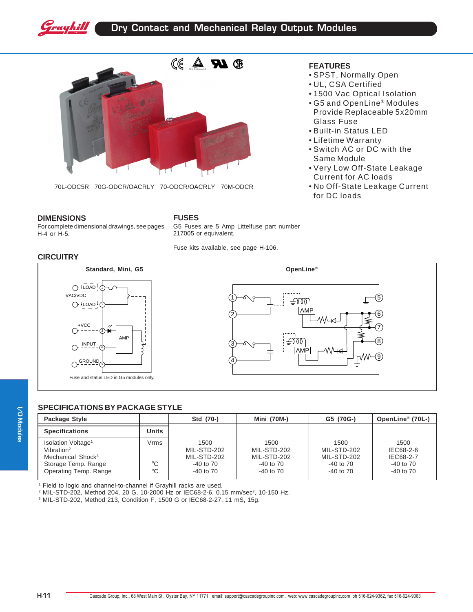



70L-ODC5R 70G-ODCR/OACRLY 70-ODCR/OACRLY 70M-ODCR

### **FEATURES**

- SPST, Normally Open
- UL, CSA Certified
- 1500 Vac Optical Isolation
- G5 and OpenLine® Modules Provide Replaceable 5x20mm Glass Fuse
- Built-in Status LED
- Lifetime Warranty
- Switch AC or DC with the Same Module
- Very Low Off-State Leakage Current for AC loads
- No Off-State Leakage Current for DC loads

#### **DIMENSIONS**

For complete dimensional drawings, see pages H-4 or H-5.

## **FUSES**

G5 Fuses are 5 Amp Littelfuse part number 217005 or equivalent.

Fuse kits available, see page H-106.

**CIRCUITRY**





# **SPECIFICATIONS BY PACKAGE STYLE**

| Package Style                                                                                                                             |                           | Std (70-)                                                            | <b>Mini (70M-)</b>                                                   | G5 (70G-)                                                    | OpenLine <sup>®</sup> (70L-)                                     |
|-------------------------------------------------------------------------------------------------------------------------------------------|---------------------------|----------------------------------------------------------------------|----------------------------------------------------------------------|--------------------------------------------------------------|------------------------------------------------------------------|
| <b>Specifications</b>                                                                                                                     | Units                     |                                                                      |                                                                      |                                                              |                                                                  |
| Isolation Voltage <sup>1</sup><br>Vibration <sup>2</sup><br>Mechanical Shock <sup>3</sup><br>Storage Temp. Range<br>Operating Temp. Range | Vrms<br>°C<br>$^{\circ}C$ | 1500<br>MIL-STD-202<br>MIL-STD-202<br>$-40$ to $70$<br>$-40$ to $70$ | 1500<br>MIL-STD-202<br>MIL-STD-202<br>$-40$ to $70$<br>$-40$ to $70$ | 1500<br>MIL-STD-202<br>MIL-STD-202<br>-40 to 70<br>-40 to 70 | 1500<br>IEC68-2-6<br>IEC68-2-7<br>$-40$ to $70$<br>$-40$ to $70$ |

1 Field to logic and channel-to-channel if Grayhill racks are used.

 $^2$  MIL-STD-202, Method 204, 20 G, 10-2000 Hz or IEC68-2-6, 0.15 mm/sec $^2$ , 10-150 Hz.

3 MIL-STD-202, Method 213, Condition F, 1500 G or IEC68-2-27, 11 mS, 15g.